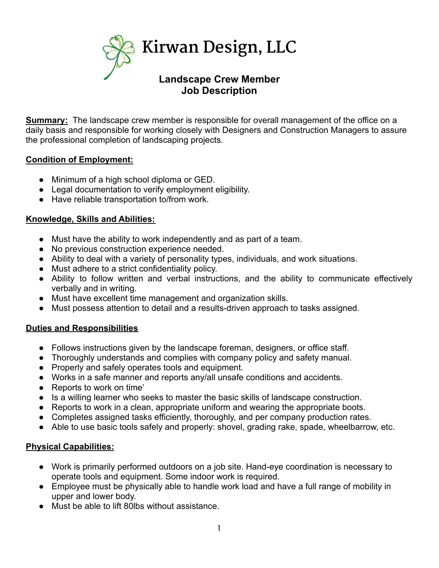

**Summary:** The landscape crew member is responsible for overall management of the office on a daily basis and responsible for working closely with Designers and Construction Managers to assure the professional completion of landscaping projects.

**Job Description**

## **Condition of Employment:**

- Minimum of a high school diploma or GED.
- Legal documentation to verify employment eligibility.
- Have reliable transportation to/from work.

## **Knowledge, Skills and Abilities:**

- Must have the ability to work independently and as part of a team.
- No previous construction experience needed.
- Ability to deal with a variety of personality types, individuals, and work situations.
- Must adhere to a strict confidentiality policy.
- Ability to follow written and verbal instructions, and the ability to communicate effectively verbally and in writing.
- Must have excellent time management and organization skills.
- Must possess attention to detail and a results-driven approach to tasks assigned.

## **Duties and Responsibilities**

- Follows instructions given by the landscape foreman, designers, or office staff.
- Thoroughly understands and complies with company policy and safety manual.
- Properly and safely operates tools and equipment.
- Works in a safe manner and reports any/all unsafe conditions and accidents.
- Reports to work on time'
- Is a willing learner who seeks to master the basic skills of landscape construction.
- Reports to work in a clean, appropriate uniform and wearing the appropriate boots.
- Completes assigned tasks efficiently, thoroughly, and per company production rates.
- Able to use basic tools safely and properly: shovel, grading rake, spade, wheelbarrow, etc.

## **Physical Capabilities:**

- Work is primarily performed outdoors on a job site. Hand-eye coordination is necessary to operate tools and equipment. Some indoor work is required.
- Employee must be physically able to handle work load and have a full range of mobility in upper and lower body.
- Must be able to lift 80lbs without assistance.